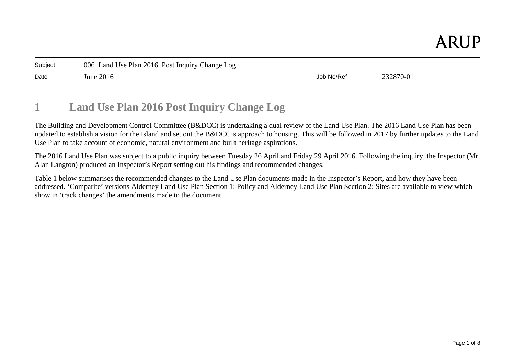Date June 2016 Job No/Ref 232870-01

#### **1Land Use Plan 2016 Post Inquiry Change Log**

The Building and Development Control Committee (B&DCC) is undertaking a dual review of the Land Use Plan. The 2016 Land Use Plan has been updated to establish a vision for the Island and set out the B&DCC's approach to housing. This will be followed in 2017 by further updates to the Land Use Plan to take account of economic, natural environment and built heritage aspirations.

The 2016 Land Use Plan was subject to a public inquiry between Tuesday 26 April and Friday 29 April 2016. Following the inquiry, the Inspector (Mr Alan Langton) produced an Inspector's Report setting out his findings and recommended changes.

Table 1 below summarises the recommended changes to the Land Use Plan documents made in the Inspector's Report, and how they have been addressed. 'Comparite' versions Alderney Land Use Plan Section 1: Policy and Alderney Land Use Plan Section 2: Sites are available to view which show in 'track changes' the amendments made to the document.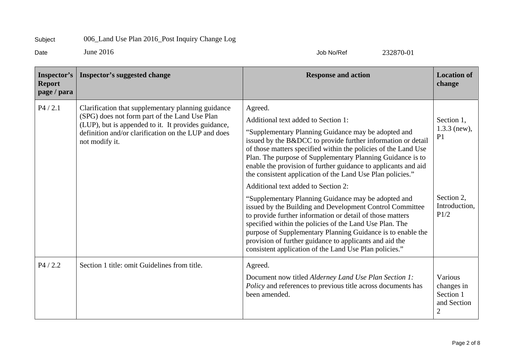Date June 2016 Job No/Ref 232870-01

| Inspector's<br><b>Report</b><br>page / para | <b>Inspector's suggested change</b>                                                                                                                                                                                                 | <b>Response and action</b>                                                                                                                                                                                                                                                                                                                                                                                                                                                                                                                                                                                                                                                                                                                                                                                                                                                                                  | <b>Location of</b><br>change                                                          |
|---------------------------------------------|-------------------------------------------------------------------------------------------------------------------------------------------------------------------------------------------------------------------------------------|-------------------------------------------------------------------------------------------------------------------------------------------------------------------------------------------------------------------------------------------------------------------------------------------------------------------------------------------------------------------------------------------------------------------------------------------------------------------------------------------------------------------------------------------------------------------------------------------------------------------------------------------------------------------------------------------------------------------------------------------------------------------------------------------------------------------------------------------------------------------------------------------------------------|---------------------------------------------------------------------------------------|
| P4 / 2.1                                    | Clarification that supplementary planning guidance<br>(SPG) does not form part of the Land Use Plan<br>(LUP), but is appended to it. It provides guidance,<br>definition and/or clarification on the LUP and does<br>not modify it. | Agreed.<br>Additional text added to Section 1:<br>"Supplementary Planning Guidance may be adopted and<br>issued by the B&DCC to provide further information or detail<br>of those matters specified within the policies of the Land Use<br>Plan. The purpose of Supplementary Planning Guidance is to<br>enable the provision of further guidance to applicants and aid<br>the consistent application of the Land Use Plan policies."<br>Additional text added to Section 2:<br>"Supplementary Planning Guidance may be adopted and<br>issued by the Building and Development Control Committee<br>to provide further information or detail of those matters<br>specified within the policies of the Land Use Plan. The<br>purpose of Supplementary Planning Guidance is to enable the<br>provision of further guidance to applicants and aid the<br>consistent application of the Land Use Plan policies." | Section 1,<br>$1.3.3$ (new),<br>P <sub>1</sub><br>Section 2,<br>Introduction,<br>P1/2 |
| P4/2.2                                      | Section 1 title: omit Guidelines from title.                                                                                                                                                                                        | Agreed.<br>Document now titled Alderney Land Use Plan Section 1:<br>Policy and references to previous title across documents has<br>been amended.                                                                                                                                                                                                                                                                                                                                                                                                                                                                                                                                                                                                                                                                                                                                                           | Various<br>changes in<br>Section 1<br>and Section<br>$\overline{2}$                   |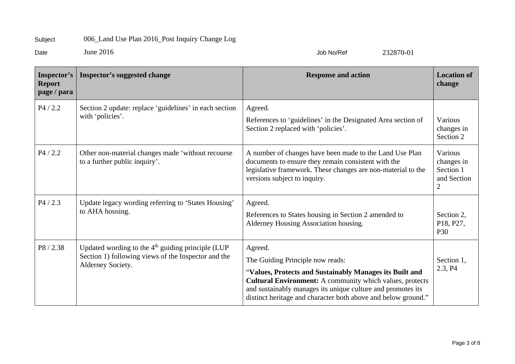Date June 2016 Job No/Ref 232870-01

| Inspector's<br><b>Report</b><br>page / para | <b>Inspector's suggested change</b>                                                                                             | <b>Response and action</b>                                                                                                                                                                                                                                                                                | <b>Location of</b><br>change                           |
|---------------------------------------------|---------------------------------------------------------------------------------------------------------------------------------|-----------------------------------------------------------------------------------------------------------------------------------------------------------------------------------------------------------------------------------------------------------------------------------------------------------|--------------------------------------------------------|
| P4 / 2.2                                    | Section 2 update: replace 'guidelines' in each section<br>with 'policies'.                                                      | Agreed.<br>References to 'guidelines' in the Designated Area section of<br>Section 2 replaced with 'policies'.                                                                                                                                                                                            | Various<br>changes in<br>Section 2                     |
| P4 / 2.2                                    | Other non-material changes made 'without recourse<br>to a further public inquiry'.                                              | A number of changes have been made to the Land Use Plan<br>documents to ensure they remain consistent with the<br>legislative framework. These changes are non-material to the<br>versions subject to inquiry.                                                                                            | Various<br>changes in<br>Section 1<br>and Section<br>2 |
| P4/2.3                                      | Update legacy wording referring to 'States Housing'<br>to AHA housing.                                                          | Agreed.<br>References to States housing in Section 2 amended to<br>Alderney Housing Association housing.                                                                                                                                                                                                  | Section 2,<br>P18, P27,<br>P30                         |
| P8/2.38                                     | Updated wording to the $4th$ guiding principle (LUP<br>Section 1) following views of the Inspector and the<br>Alderney Society. | Agreed.<br>The Guiding Principle now reads:<br>"Values, Protects and Sustainably Manages its Built and<br><b>Cultural Environment:</b> A community which values, protects<br>and sustainably manages its unique culture and promotes its<br>distinct heritage and character both above and below ground." | Section 1,<br>2.3, P4                                  |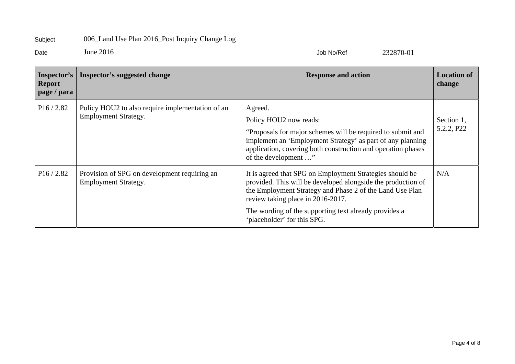Date June 2016 Job No/Ref 232870-01

| Inspector's<br><b>Report</b><br>page / para | Inspector's suggested change                                                    | <b>Response and action</b>                                                                                                                                                                                                                                                                                        | <b>Location of</b><br>change |
|---------------------------------------------|---------------------------------------------------------------------------------|-------------------------------------------------------------------------------------------------------------------------------------------------------------------------------------------------------------------------------------------------------------------------------------------------------------------|------------------------------|
| P16/2.82                                    | Policy HOU2 to also require implementation of an<br><b>Employment Strategy.</b> | Agreed.<br>Policy HOU2 now reads:<br>"Proposals for major schemes will be required to submit and<br>implement an 'Employment Strategy' as part of any planning<br>application, covering both construction and operation phases<br>of the development "                                                            | Section 1,<br>5.2.2, P22     |
| P16/2.82                                    | Provision of SPG on development requiring an<br><b>Employment Strategy.</b>     | It is agreed that SPG on Employment Strategies should be<br>provided. This will be developed alongside the production of<br>the Employment Strategy and Phase 2 of the Land Use Plan<br>review taking place in 2016-2017.<br>The wording of the supporting text already provides a<br>'placeholder' for this SPG. | N/A                          |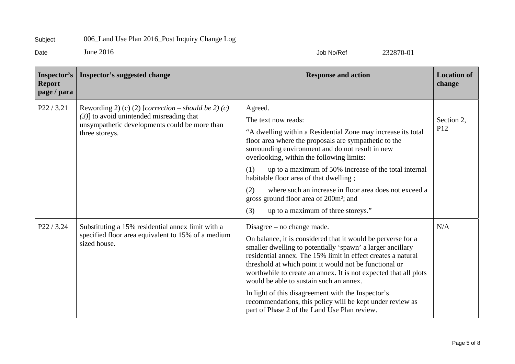Date June 2016 Job No/Ref 232870-01

| Inspector's<br><b>Report</b><br>page / para | Inspector's suggested change                                                                                                                                          | <b>Response and action</b>                                                                                                                                                                                                                                                                                                                                                                                                                                                                                                                                             | <b>Location of</b><br>change  |
|---------------------------------------------|-----------------------------------------------------------------------------------------------------------------------------------------------------------------------|------------------------------------------------------------------------------------------------------------------------------------------------------------------------------------------------------------------------------------------------------------------------------------------------------------------------------------------------------------------------------------------------------------------------------------------------------------------------------------------------------------------------------------------------------------------------|-------------------------------|
| P22 / 3.21                                  | Rewording 2) (c) (2) [correction – should be 2) (c)<br>$(3)$ ] to avoid unintended misreading that<br>unsympathetic developments could be more than<br>three storeys. | Agreed.<br>The text now reads:<br>"A dwelling within a Residential Zone may increase its total<br>floor area where the proposals are sympathetic to the<br>surrounding environment and do not result in new<br>overlooking, within the following limits:<br>up to a maximum of 50% increase of the total internal<br>(1)<br>habitable floor area of that dwelling;<br>where such an increase in floor area does not exceed a<br>(2)<br>gross ground floor area of 200m <sup>2</sup> ; and<br>up to a maximum of three storeys."<br>(3)                                 | Section 2,<br>P <sub>12</sub> |
| P22 / 3.24                                  | Substituting a 15% residential annex limit with a<br>specified floor area equivalent to 15% of a medium<br>sized house.                                               | Disagree $-$ no change made.<br>On balance, it is considered that it would be perverse for a<br>smaller dwelling to potentially 'spawn' a larger ancillary<br>residential annex. The 15% limit in effect creates a natural<br>threshold at which point it would not be functional or<br>worthwhile to create an annex. It is not expected that all plots<br>would be able to sustain such an annex.<br>In light of this disagreement with the Inspector's<br>recommendations, this policy will be kept under review as<br>part of Phase 2 of the Land Use Plan review. | N/A                           |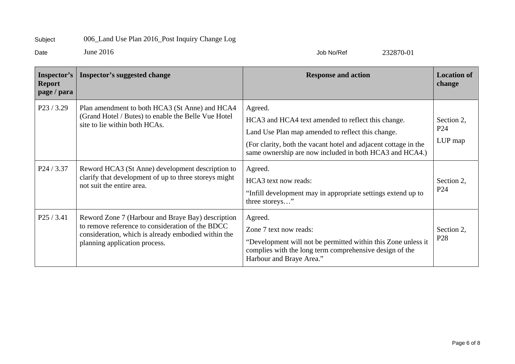Date June 2016 Job No/Ref 232870-01

| Inspector's<br><b>Report</b><br>page / para | <b>Inspector's suggested change</b>                                                                                                                                                           | <b>Response and action</b>                                                                                                                                                                                                                       | <b>Location of</b><br>change             |
|---------------------------------------------|-----------------------------------------------------------------------------------------------------------------------------------------------------------------------------------------------|--------------------------------------------------------------------------------------------------------------------------------------------------------------------------------------------------------------------------------------------------|------------------------------------------|
| $P$ 23 / 3.29                               | Plan amendment to both HCA3 (St Anne) and HCA4<br>(Grand Hotel / Butes) to enable the Belle Vue Hotel<br>site to lie within both HCAs.                                                        | Agreed.<br>HCA3 and HCA4 text amended to reflect this change.<br>Land Use Plan map amended to reflect this change.<br>(For clarity, both the vacant hotel and adjacent cottage in the<br>same ownership are now included in both HCA3 and HCA4.) | Section 2,<br>P <sub>24</sub><br>LUP map |
| P24 / 3.37                                  | Reword HCA3 (St Anne) development description to<br>clarify that development of up to three storeys might<br>not suit the entire area.                                                        | Agreed.<br>HCA3 text now reads:<br>"Infill development may in appropriate settings extend up to<br>three storeys"                                                                                                                                | Section 2,<br>P <sub>24</sub>            |
| P25/3.41                                    | Reword Zone 7 (Harbour and Braye Bay) description<br>to remove reference to consideration of the BDCC<br>consideration, which is already embodied within the<br>planning application process. | Agreed.<br>Zone 7 text now reads:<br>"Development will not be permitted within this Zone unless it<br>complies with the long term comprehensive design of the<br>Harbour and Braye Area."                                                        | Section 2,<br>P <sub>28</sub>            |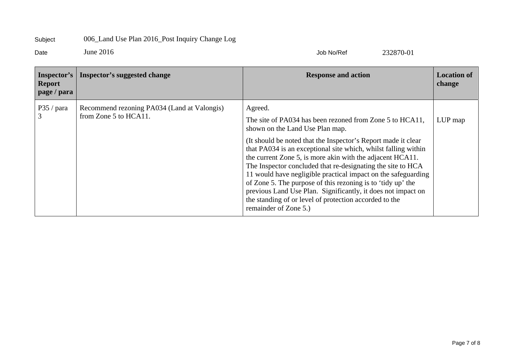Date June 2016 Job No/Ref 232870-01

| Inspector's<br><b>Report</b><br>page / para | Inspector's suggested change                                         | <b>Response and action</b>                                                                                                                                                                                                                                                                                                                                                                                                                                                                                                                                                                                                                               | <b>Location of</b><br>change |
|---------------------------------------------|----------------------------------------------------------------------|----------------------------------------------------------------------------------------------------------------------------------------------------------------------------------------------------------------------------------------------------------------------------------------------------------------------------------------------------------------------------------------------------------------------------------------------------------------------------------------------------------------------------------------------------------------------------------------------------------------------------------------------------------|------------------------------|
| P35 / para                                  | Recommend rezoning PA034 (Land at Valongis)<br>from Zone 5 to HCA11. | Agreed.<br>The site of PA034 has been rezoned from Zone 5 to HCA11,<br>shown on the Land Use Plan map.<br>(It should be noted that the Inspector's Report made it clear<br>that PA034 is an exceptional site which, whilst falling within<br>the current Zone 5, is more akin with the adjacent HCA11.<br>The Inspector concluded that re-designating the site to HCA<br>11 would have negligible practical impact on the safeguarding<br>of Zone 5. The purpose of this rezoning is to 'tidy up' the<br>previous Land Use Plan. Significantly, it does not impact on<br>the standing of or level of protection accorded to the<br>remainder of Zone 5.) | LUP map                      |